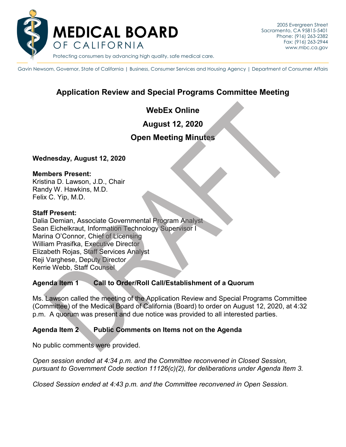

Gavin Newsom, Governor, State of California | Business, Consumer Services and Housing Agency | Department of Consumer Affairs

# **Application Review and Special Programs Committee Meeting**

## **WebEx Online**

**August 12, 2020** 

## **Open Meeting Minutes**

#### **Wednesday, August 12, 2020**

#### **Members Present:**

Kristina D. Lawson, J.D., Chair Randy W. Hawkins, M.D. Felix C. Yip, M.D.

#### **Staff Present:**

Dalia Demian, Associate Governmental Program Analyst Sean Eichelkraut, Information Technology Supervisor I Marina O'Connor, Chief of Licensing William Prasifka, Executive Director Elizabeth Rojas, Staff Services Analyst Reji Varghese, Deputy Director Kerrie Webb, Staff Counsel

### **Agenda Item 1 Call to Order/Roll Call/Establishment of a Quorum**

Ms. Lawson called the meeting of the Application Review and Special Programs Committee (Committee) of the Medical Board of California (Board) to order on August 12, 2020, at 4:32 p.m. A quorum was present and due notice was provided to all interested parties.

### **Agenda Item 2 Public Comments on Items not on the Agenda**

No public comments were provided.

*Open session ended at 4:34 p.m. and the Committee reconvened in Closed Session, pursuant to Government Code section 11126(c)(2), for deliberations under Agenda Item 3.* 

*Closed Session ended at 4:43 p.m. and the Committee reconvened in Open Session.*